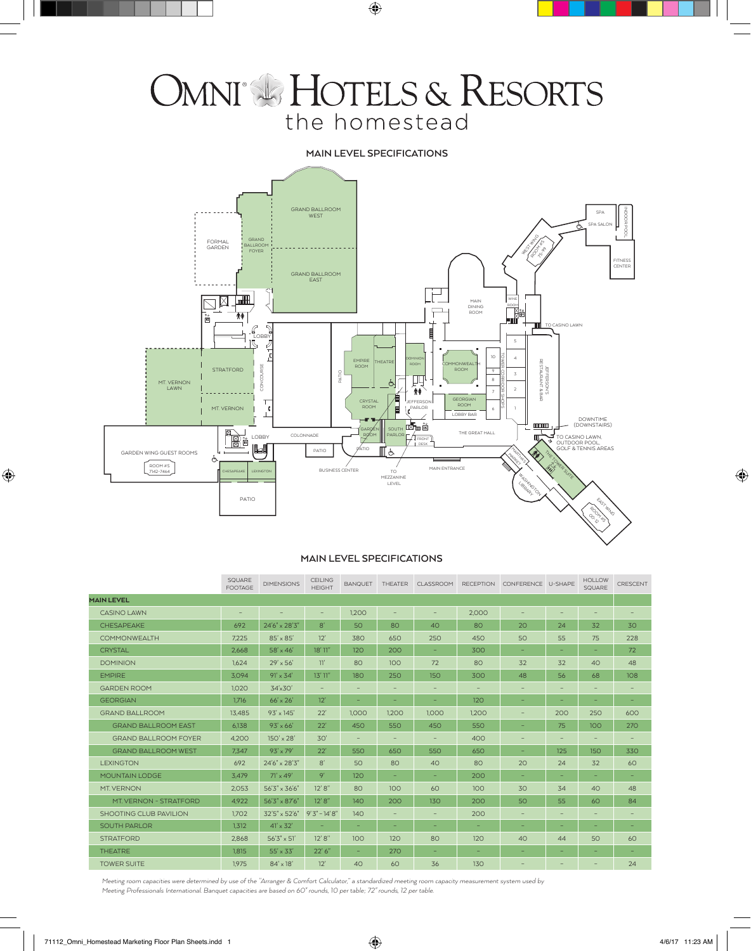# OMNI & HOTELS & RESORTS the homestead

## **MAIN LEVEL SPECIFICATIONS**



## **MAIN LEVEL SPECIFICATIONS**

|                             | SQUARE<br><b>FOOTAGE</b> | <b>DIMENSIONS</b>      | CEILING<br><b>HEIGHT</b> | <b>BANQUET</b> | THEATER                           | <b>CLASSROOM</b>         | <b>RECEPTION</b> | CONFERENCE U-SHAPE       |     | <b>HOLLOW</b><br>SQUARE  | CRESCENT |
|-----------------------------|--------------------------|------------------------|--------------------------|----------------|-----------------------------------|--------------------------|------------------|--------------------------|-----|--------------------------|----------|
| <b>MAIN LEVEL</b>           |                          |                        |                          |                |                                   |                          |                  |                          |     |                          |          |
| <b>CASINO LAWN</b>          | $\overline{\phantom{a}}$ |                        | $\qquad \qquad -$        | 1.200          | $\qquad \qquad -$                 | $\qquad \qquad -$        | 2.000            |                          |     | $\overline{\phantom{a}}$ |          |
| <b>CHESAPFAKE</b>           | 692                      | 24'6" x 28'3"          | 8'                       | 50             | 80                                | 40                       | 80               | 20                       | 24  | 32                       | 30       |
| <b>COMMONWEALTH</b>         | 7.225                    | $85' \times 85'$       | 12'                      | 380            | 650                               | 250                      | 450              | 50                       | 55  | 75                       | 228      |
| <b>CRYSTAL</b>              | 2.668                    | $58' \times 46'$       | $18'$ 11"                | 120            | 200                               | ٠                        | 300              | -                        | -   | ۰                        | 72       |
| <b>DOMINION</b>             | 1.624                    | $29' \times 56'$       | 11'                      | 80             | 100                               | 72                       | 80               | 32                       | 32  | 40                       | 48       |
| <b>EMPIRE</b>               | 3.094                    | $91' \times 34'$       | 13'11''                  | 180            | 250                               | 150                      | 300              | 48                       | 56  | 68                       | 108      |
| <b>GARDEN ROOM</b>          | 1,020                    | 34'x30'                |                          |                |                                   | $\overline{\phantom{a}}$ |                  |                          |     |                          |          |
| <b>GEORGIAN</b>             | 1,716                    | $66' \times 26'$       | 12'                      |                | -                                 | -                        | 120              | -                        | -   | ۰                        | -        |
| <b>GRAND BALLROOM</b>       | 13.485                   | $93' \times 145'$      | 22'                      | 1.000          | 1,200                             | 1,000                    | 1.200            | -                        | 200 | 250                      | 600      |
| <b>GRAND BALLROOM EAST</b>  | 6,138                    | $93' \times 66'$       | 22'                      | 450            | 550                               | 450                      | 550              | -                        | 75  | 100                      | 270      |
| <b>GRAND BALLROOM FOYER</b> | 4.200                    | $150' \times 28'$      | 30'                      |                | $\overline{\phantom{m}}$          | $\qquad \qquad -$        | 400              | -                        | -   | $\qquad \qquad -$        |          |
| <b>GRAND BALLROOM WEST</b>  | 7.347                    | $93' \times 79'$       | 22'                      | 550            | 650                               | 550                      | 650              | -                        | 125 | 150                      | 330      |
| <b>LEXINGTON</b>            | 692                      | 24'6" x 28'3"          | 8'                       | 50             | 80                                | 40                       | 80               | 20                       | 24  | 32                       | 60       |
| <b>MOUNTAIN LODGE</b>       | 3,479                    | $71' \times 49'$       | 9'                       | 120            | -                                 | -                        | 200              | -                        | -   | ۰                        | -        |
| <b>MT. VERNON</b>           | 2,053                    | $56'3'' \times 36'6''$ | 12' 8''                  | 80             | 100                               | 60                       | 100              | 30                       | 34  | 40                       | 48       |
| MT. VERNON - STRATFORD      | 4,922                    | 56'3" x 87'6"          | 12' 8''                  | 140            | 200                               | 130                      | 200              | 50                       | 55  | 60                       | 84       |
| SHOOTING CLUB PAVILION      | 1.702                    | 32'5" x 52'6"          | $9'3'' - 14'8''$         | 140            | $\hspace{1.0cm} - \hspace{1.0cm}$ | $\qquad \qquad -$        | 200              | $\overline{\phantom{0}}$ |     | -                        |          |
| <b>SOUTH PARLOR</b>         | 1.312                    | $41' \times 32'$       | -                        | ۰              | -                                 | -                        | -                | -                        | -   | -                        | -        |
| <b>STRATFORD</b>            | 2.868                    | $56'3'' \times 51'$    | 12' 8''                  | 100            | 120                               | 80                       | 120              | 40                       | 44  | 50                       | 60       |
| <b>THEATRE</b>              | 1.815                    | $55' \times 33'$       | 22' 6''                  | ٠              | 270                               | -                        | -                | -                        | ۰   | ۰                        | -        |
| <b>TOWER SUITE</b>          | 1.975                    | $84' \times 18'$       | 12'                      | 40             | 60                                | 36                       | 130              |                          | -   | $\qquad \qquad$          | 24       |

*Meeting room capacities were determined by use of the "Arranger & Comfort Calculator," a standardized meeting room capacity measurement system used by Meeting Professionals International. Banquet capacities are based on 60" rounds, 10 per table; 72" rounds, 12 per table.*